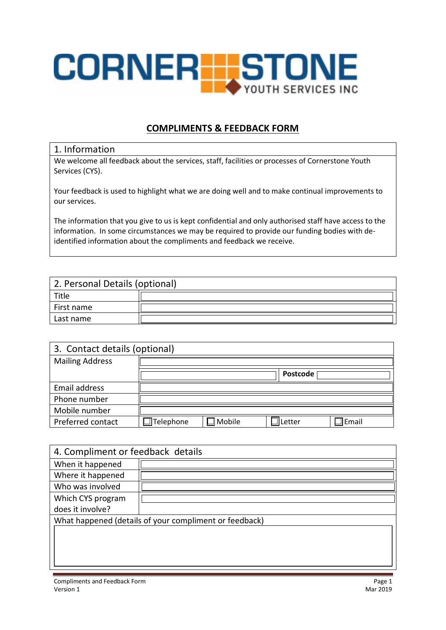

## **COMPLIMENTS & FEEDBACK FORM**

## 1. Information

We welcome all feedback about the services, staff, facilities or processes of Cornerstone Youth Services (CYS).

Your feedback is used to highlight what we are doing well and to make continual improvements to our services.

The information that you give to us is kept confidential and only authorised staff have access to the information. In some circumstances we may be required to provide our funding bodies with deidentified information about the compliments and feedback we receive.

| 2. Personal Details (optional) |  |  |  |
|--------------------------------|--|--|--|
| Title                          |  |  |  |
| First name                     |  |  |  |
| Last name                      |  |  |  |

| 3. Contact details (optional) |                  |                    |          |              |  |  |
|-------------------------------|------------------|--------------------|----------|--------------|--|--|
| <b>Mailing Address</b>        |                  |                    |          |              |  |  |
|                               |                  |                    | Postcode |              |  |  |
| Email address                 |                  |                    |          |              |  |  |
| Phone number                  |                  |                    |          |              |  |  |
| Mobile number                 |                  |                    |          |              |  |  |
| Preferred contact             | $\Box$ Telephone | $\mathbb I$ Mobile | etter.   | $\Box$ Email |  |  |

| 4. Compliment or feedback details                      |  |  |  |  |
|--------------------------------------------------------|--|--|--|--|
| When it happened                                       |  |  |  |  |
| Where it happened                                      |  |  |  |  |
| Who was involved                                       |  |  |  |  |
| Which CYS program                                      |  |  |  |  |
| does it involve?                                       |  |  |  |  |
| What happened (details of your compliment or feedback) |  |  |  |  |
|                                                        |  |  |  |  |
|                                                        |  |  |  |  |
|                                                        |  |  |  |  |
|                                                        |  |  |  |  |